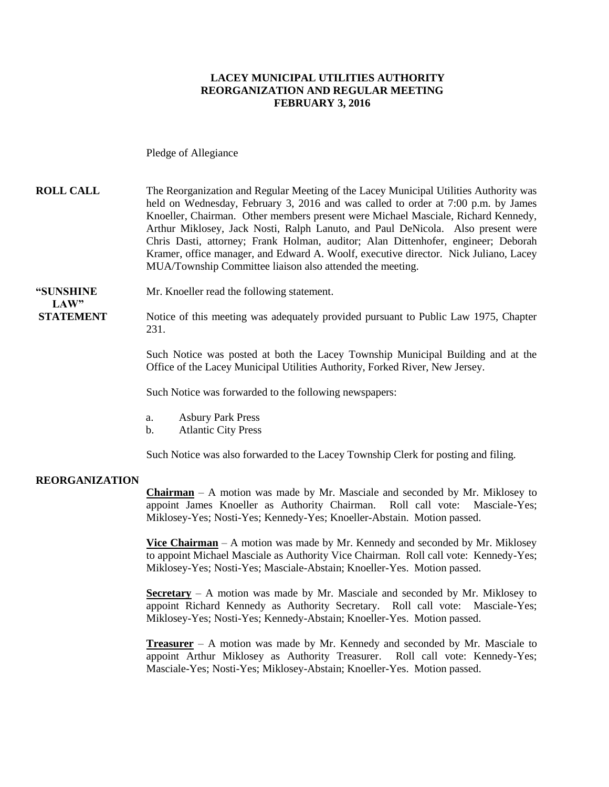#### **LACEY MUNICIPAL UTILITIES AUTHORITY REORGANIZATION AND REGULAR MEETING FEBRUARY 3, 2016**

Pledge of Allegiance

#### **ROLL CALL** The Reorganization and Regular Meeting of the Lacey Municipal Utilities Authority was held on Wednesday, February 3, 2016 and was called to order at 7:00 p.m. by James Knoeller, Chairman. Other members present were Michael Masciale, Richard Kennedy, Arthur Miklosey, Jack Nosti, Ralph Lanuto, and Paul DeNicola. Also present were Chris Dasti, attorney; Frank Holman, auditor; Alan Dittenhofer, engineer; Deborah Kramer, office manager, and Edward A. Woolf, executive director. Nick Juliano, Lacey MUA/Township Committee liaison also attended the meeting.

**"SUNSHINE** Mr. Knoeller read the following statement.

**STATEMENT** Notice of this meeting was adequately provided pursuant to Public Law 1975, Chapter 231.

> Such Notice was posted at both the Lacey Township Municipal Building and at the Office of the Lacey Municipal Utilities Authority, Forked River, New Jersey.

Such Notice was forwarded to the following newspapers:

- a. Asbury Park Press
- b. Atlantic City Press

Such Notice was also forwarded to the Lacey Township Clerk for posting and filing.

#### **REORGANIZATION**

 $LAW"$ 

**Chairman** – A motion was made by Mr. Masciale and seconded by Mr. Miklosey to appoint James Knoeller as Authority Chairman. Roll call vote: Masciale-Yes; Miklosey-Yes; Nosti-Yes; Kennedy-Yes; Knoeller-Abstain. Motion passed.

**Vice Chairman** – A motion was made by Mr. Kennedy and seconded by Mr. Miklosey to appoint Michael Masciale as Authority Vice Chairman. Roll call vote: Kennedy-Yes; Miklosey-Yes; Nosti-Yes; Masciale-Abstain; Knoeller-Yes. Motion passed.

**Secretary** – A motion was made by Mr. Masciale and seconded by Mr. Miklosey to appoint Richard Kennedy as Authority Secretary. Roll call vote: Masciale-Yes; Miklosey-Yes; Nosti-Yes; Kennedy-Abstain; Knoeller-Yes. Motion passed.

**Treasurer** – A motion was made by Mr. Kennedy and seconded by Mr. Masciale to appoint Arthur Miklosey as Authority Treasurer. Roll call vote: Kennedy-Yes; Masciale-Yes; Nosti-Yes; Miklosey-Abstain; Knoeller-Yes. Motion passed.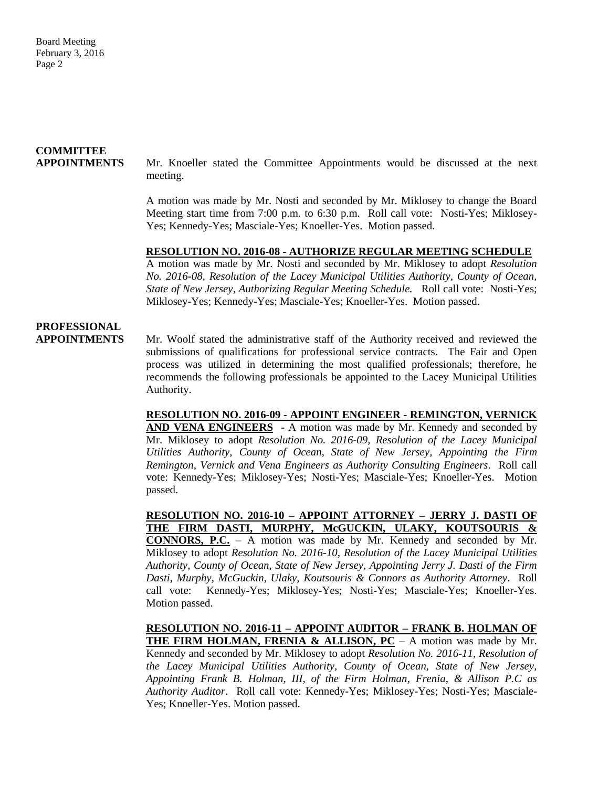# **COMMITTEE**

**APPOINTMENTS**Mr. Knoeller stated the Committee Appointments would be discussed at the next meeting.

> A motion was made by Mr. Nosti and seconded by Mr. Miklosey to change the Board Meeting start time from 7:00 p.m. to 6:30 p.m. Roll call vote: Nosti-Yes; Miklosey-Yes; Kennedy-Yes; Masciale-Yes; Knoeller-Yes. Motion passed.

#### **RESOLUTION NO. 2016-08 - AUTHORIZE REGULAR MEETING SCHEDULE**

A motion was made by Mr. Nosti and seconded by Mr. Miklosey to adopt *Resolution No. 2016-08, Resolution of the Lacey Municipal Utilities Authority, County of Ocean, State of New Jersey*, *Authorizing Regular Meeting Schedule.* Roll call vote: Nosti-Yes; Miklosey-Yes; Kennedy-Yes; Masciale-Yes; Knoeller-Yes. Motion passed.

### **PROFESSIONAL**

**APPOINTMENTS** Mr. Woolf stated the administrative staff of the Authority received and reviewed the submissions of qualifications for professional service contracts. The Fair and Open process was utilized in determining the most qualified professionals; therefore, he recommends the following professionals be appointed to the Lacey Municipal Utilities Authority.

> **RESOLUTION NO. 2016-09 - APPOINT ENGINEER - REMINGTON, VERNICK AND VENA ENGINEERS** - A motion was made by Mr. Kennedy and seconded by Mr. Miklosey to adopt *Resolution No. 2016-09, Resolution of the Lacey Municipal Utilities Authority, County of Ocean, State of New Jersey, Appointing the Firm Remington, Vernick and Vena Engineers as Authority Consulting Engineers*. Roll call vote: Kennedy-Yes; Miklosey-Yes; Nosti-Yes; Masciale-Yes; Knoeller-Yes. Motion passed.

> **RESOLUTION NO. 2016-10 – APPOINT ATTORNEY – JERRY J. DASTI OF THE FIRM DASTI, MURPHY, McGUCKIN, ULAKY, KOUTSOURIS & CONNORS, P.C.** – A motion was made by Mr. Kennedy and seconded by Mr. Miklosey to adopt *Resolution No. 2016-10, Resolution of the Lacey Municipal Utilities Authority, County of Ocean, State of New Jersey, Appointing Jerry J. Dasti of the Firm Dasti, Murphy*, *McGuckin, Ulaky, Koutsouris & Connors as Authority Attorney*. Roll call vote: Kennedy-Yes; Miklosey-Yes; Nosti-Yes; Masciale-Yes; Knoeller-Yes. Motion passed.

> **RESOLUTION NO. 2016-11 – APPOINT AUDITOR – FRANK B. HOLMAN OF THE FIRM HOLMAN, FRENIA & ALLISON, PC** – A motion was made by Mr. Kennedy and seconded by Mr. Miklosey to adopt *Resolution No. 2016-11, Resolution of the Lacey Municipal Utilities Authority, County of Ocean, State of New Jersey, Appointing Frank B. Holman, III, of the Firm Holman, Frenia, & Allison P.C as Authority Auditor*. Roll call vote: Kennedy-Yes; Miklosey-Yes; Nosti-Yes; Masciale-Yes; Knoeller-Yes. Motion passed.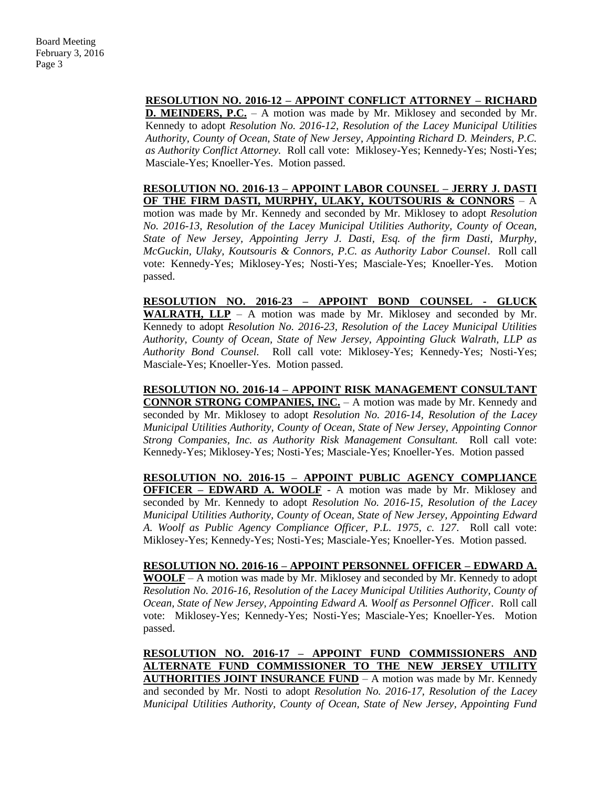### **RESOLUTION NO. 2016-12 – APPOINT CONFLICT ATTORNEY – RICHARD**

**D. MEINDERS, P.C.** – A motion was made by Mr. Miklosey and seconded by Mr. Kennedy to adopt *Resolution No. 2016-12, Resolution of the Lacey Municipal Utilities Authority, County of Ocean, State of New Jersey*, *Appointing Richard D. Meinders, P.C. as Authority Conflict Attorney.* Roll call vote: Miklosey-Yes; Kennedy-Yes; Nosti-Yes; Masciale-Yes; Knoeller-Yes. Motion passed.

#### **RESOLUTION NO. 2016-13 – APPOINT LABOR COUNSEL – JERRY J. DASTI OF THE FIRM DASTI, MURPHY, ULAKY, KOUTSOURIS & CONNORS** – A

motion was made by Mr. Kennedy and seconded by Mr. Miklosey to adopt *Resolution No. 2016-13, Resolution of the Lacey Municipal Utilities Authority, County of Ocean, State of New Jersey, Appointing Jerry J. Dasti, Esq. of the firm Dasti, Murphy, McGuckin, Ulaky, Koutsouris & Connors, P.C. as Authority Labor Counsel*. Roll call vote: Kennedy-Yes; Miklosey-Yes; Nosti-Yes; Masciale-Yes; Knoeller-Yes. Motion passed.

**RESOLUTION NO. 2016-23 – APPOINT BOND COUNSEL - GLUCK WALRATH, LLP** – A motion was made by Mr. Miklosey and seconded by Mr. Kennedy to adopt *Resolution No. 2016-23, Resolution of the Lacey Municipal Utilities Authority, County of Ocean, State of New Jersey, Appointing Gluck Walrath, LLP as Authority Bond Counsel.* Roll call vote: Miklosey-Yes; Kennedy-Yes; Nosti-Yes; Masciale-Yes; Knoeller-Yes. Motion passed.

**RESOLUTION NO. 2016-14 – APPOINT RISK MANAGEMENT CONSULTANT CONNOR STRONG COMPANIES, INC.** – A motion was made by Mr. Kennedy and seconded by Mr. Miklosey to adopt *Resolution No. 2016-14, Resolution of the Lacey Municipal Utilities Authority, County of Ocean, State of New Jersey, Appointing Connor Strong Companies, Inc. as Authority Risk Management Consultant.* Roll call vote: Kennedy-Yes; Miklosey-Yes; Nosti-Yes; Masciale-Yes; Knoeller-Yes. Motion passed

**RESOLUTION NO. 2016-15 – APPOINT PUBLIC AGENCY COMPLIANCE OFFICER - EDWARD A. WOOLF** - A motion was made by Mr. Miklosey and seconded by Mr. Kennedy to adopt *Resolution No. 2016-15, Resolution of the Lacey Municipal Utilities Authority, County of Ocean, State of New Jersey, Appointing Edward A. Woolf as Public Agency Compliance Officer, P.L. 1975, c. 127*. Roll call vote: Miklosey-Yes; Kennedy-Yes; Nosti-Yes; Masciale-Yes; Knoeller-Yes. Motion passed.

**RESOLUTION NO. 2016-16 – APPOINT PERSONNEL OFFICER – EDWARD A. WOOLF** – A motion was made by Mr. Miklosey and seconded by Mr. Kennedy to adopt *Resolution No. 2016-16, Resolution of the Lacey Municipal Utilities Authority, County of Ocean, State of New Jersey, Appointing Edward A. Woolf as Personnel Officer*. Roll call vote: Miklosey-Yes; Kennedy-Yes; Nosti-Yes; Masciale-Yes; Knoeller-Yes. Motion passed.

**RESOLUTION NO. 2016-17 – APPOINT FUND COMMISSIONERS AND ALTERNATE FUND COMMISSIONER TO THE NEW JERSEY UTILITY AUTHORITIES JOINT INSURANCE FUND** – A motion was made by Mr. Kennedy and seconded by Mr. Nosti to adopt *Resolution No. 2016-17, Resolution of the Lacey Municipal Utilities Authority, County of Ocean, State of New Jersey, Appointing Fund*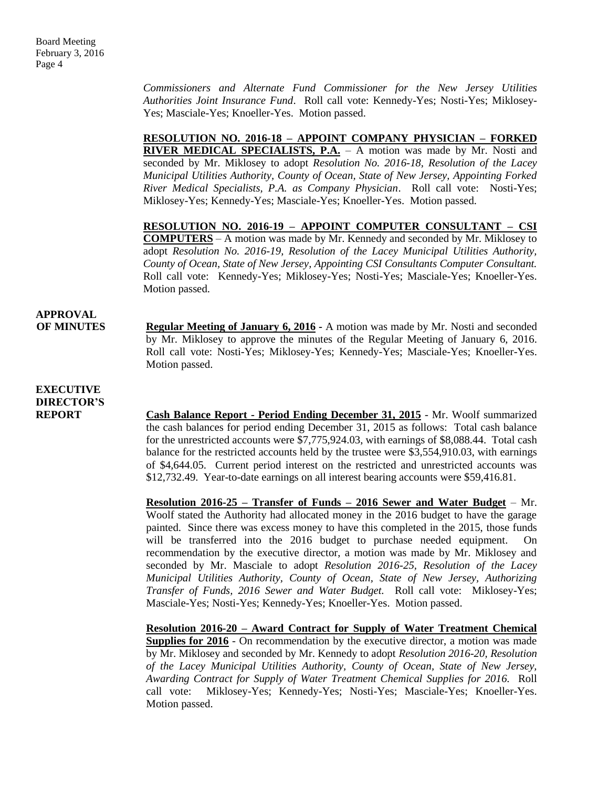*Commissioners and Alternate Fund Commissioner for the New Jersey Utilities Authorities Joint Insurance Fund*. Roll call vote: Kennedy-Yes; Nosti-Yes; Miklosey-Yes; Masciale-Yes; Knoeller-Yes. Motion passed.

**RESOLUTION NO. 2016-18 – APPOINT COMPANY PHYSICIAN – FORKED RIVER MEDICAL SPECIALISTS, P.A.** – A motion was made by Mr. Nosti and seconded by Mr. Miklosey to adopt *Resolution No. 2016-18, Resolution of the Lacey Municipal Utilities Authority, County of Ocean, State of New Jersey, Appointing Forked River Medical Specialists, P.A. as Company Physician*. Roll call vote: Nosti-Yes; Miklosey-Yes; Kennedy-Yes; Masciale-Yes; Knoeller-Yes. Motion passed.

**RESOLUTION NO. 2016-19 – APPOINT COMPUTER CONSULTANT – CSI COMPUTERS** – A motion was made by Mr. Kennedy and seconded by Mr. Miklosey to adopt *Resolution No. 2016-19, Resolution of the Lacey Municipal Utilities Authority, County of Ocean, State of New Jersey, Appointing CSI Consultants Computer Consultant.* Roll call vote: Kennedy-Yes; Miklosey-Yes; Nosti-Yes; Masciale-Yes; Knoeller-Yes. Motion passed.

## **APPROVAL**

**OF MINUTES Regular Meeting of January 6, 2016 -** A motion was made by Mr. Nosti and seconded by Mr. Miklosey to approve the minutes of the Regular Meeting of January 6, 2016. Roll call vote: Nosti-Yes; Miklosey-Yes; Kennedy-Yes; Masciale-Yes; Knoeller-Yes. Motion passed.

### **EXECUTIVE DIRECTOR'S**

**REPORT Cash Balance Report - Period Ending December 31, 2015** - Mr. Woolf summarized the cash balances for period ending December 31, 2015 as follows: Total cash balance for the unrestricted accounts were \$7,775,924.03, with earnings of \$8,088.44. Total cash balance for the restricted accounts held by the trustee were \$3,554,910.03, with earnings of \$4,644.05. Current period interest on the restricted and unrestricted accounts was \$12,732.49. Year-to-date earnings on all interest bearing accounts were \$59,416.81.

> **Resolution 2016-25 – Transfer of Funds – 2016 Sewer and Water Budget** – Mr. Woolf stated the Authority had allocated money in the 2016 budget to have the garage painted. Since there was excess money to have this completed in the 2015, those funds will be transferred into the 2016 budget to purchase needed equipment. On recommendation by the executive director, a motion was made by Mr. Miklosey and seconded by Mr. Masciale to adopt *Resolution 2016-25, Resolution of the Lacey Municipal Utilities Authority, County of Ocean, State of New Jersey, Authorizing Transfer of Funds, 2016 Sewer and Water Budget.* Roll call vote: Miklosey-Yes; Masciale-Yes; Nosti-Yes; Kennedy-Yes; Knoeller-Yes. Motion passed.

> **Resolution 2016-20 – Award Contract for Supply of Water Treatment Chemical Supplies for 2016** - On recommendation by the executive director, a motion was made by Mr. Miklosey and seconded by Mr. Kennedy to adopt *Resolution 2016-20, Resolution of the Lacey Municipal Utilities Authority, County of Ocean, State of New Jersey, Awarding Contract for Supply of Water Treatment Chemical Supplies for 2016.* Roll call vote: Miklosey-Yes; Kennedy-Yes; Nosti-Yes; Masciale-Yes; Knoeller-Yes. Motion passed.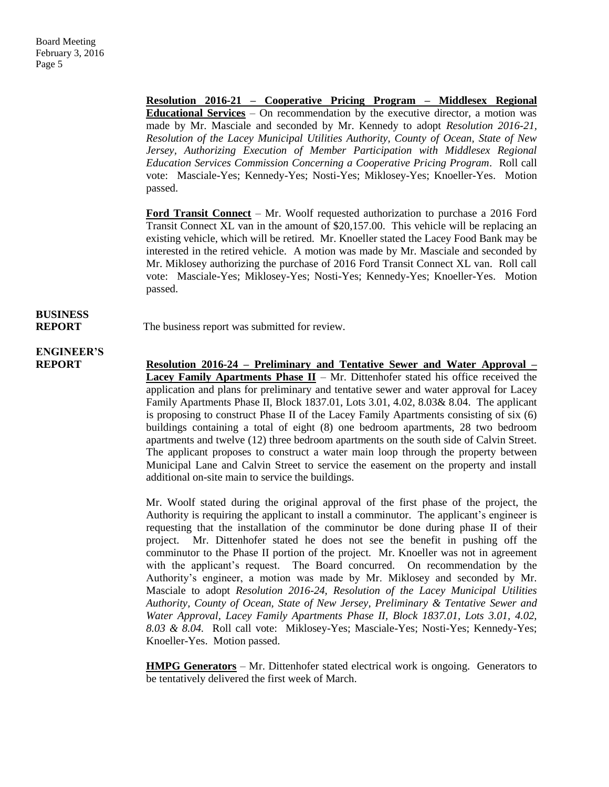**Resolution 2016-21 – Cooperative Pricing Program – Middlesex Regional Educational Services** – On recommendation by the executive director, a motion was made by Mr. Masciale and seconded by Mr. Kennedy to adopt *Resolution 2016-21, Resolution of the Lacey Municipal Utilities Authority, County of Ocean, State of New Jersey, Authorizing Execution of Member Participation with Middlesex Regional Education Services Commission Concerning a Cooperative Pricing Program*. Roll call vote: Masciale-Yes; Kennedy-Yes; Nosti-Yes; Miklosey-Yes; Knoeller-Yes. Motion passed.

**Ford Transit Connect** – Mr. Woolf requested authorization to purchase a 2016 Ford Transit Connect XL van in the amount of \$20,157.00. This vehicle will be replacing an existing vehicle, which will be retired. Mr. Knoeller stated the Lacey Food Bank may be interested in the retired vehicle. A motion was made by Mr. Masciale and seconded by Mr. Miklosey authorizing the purchase of 2016 Ford Transit Connect XL van. Roll call vote: Masciale-Yes; Miklosey-Yes; Nosti-Yes; Kennedy-Yes; Knoeller-Yes. Motion passed.

## **BUSINESS**

**REPORT** The business report was submitted for review.

## **ENGINEER'S**

**REPORT Resolution 2016-24 – Preliminary and Tentative Sewer and Water Approval – Lacey Family Apartments Phase II** – Mr. Dittenhofer stated his office received the application and plans for preliminary and tentative sewer and water approval for Lacey Family Apartments Phase II, Block 1837.01, Lots 3.01, 4.02, 8.03& 8.04. The applicant is proposing to construct Phase II of the Lacey Family Apartments consisting of six (6) buildings containing a total of eight (8) one bedroom apartments, 28 two bedroom apartments and twelve (12) three bedroom apartments on the south side of Calvin Street. The applicant proposes to construct a water main loop through the property between Municipal Lane and Calvin Street to service the easement on the property and install additional on-site main to service the buildings.

> Mr. Woolf stated during the original approval of the first phase of the project, the Authority is requiring the applicant to install a comminutor. The applicant's engineer is requesting that the installation of the comminutor be done during phase II of their project. Mr. Dittenhofer stated he does not see the benefit in pushing off the comminutor to the Phase II portion of the project. Mr. Knoeller was not in agreement with the applicant's request. The Board concurred. On recommendation by the Authority's engineer, a motion was made by Mr. Miklosey and seconded by Mr. Masciale to adopt *Resolution 2016-24, Resolution of the Lacey Municipal Utilities Authority, County of Ocean, State of New Jersey, Preliminary & Tentative Sewer and Water Approval, Lacey Family Apartments Phase II, Block 1837.01, Lots 3.01, 4.02, 8.03 & 8.04.* Roll call vote: Miklosey-Yes; Masciale-Yes; Nosti-Yes; Kennedy-Yes; Knoeller-Yes. Motion passed.

> **HMPG Generators** – Mr. Dittenhofer stated electrical work is ongoing. Generators to be tentatively delivered the first week of March.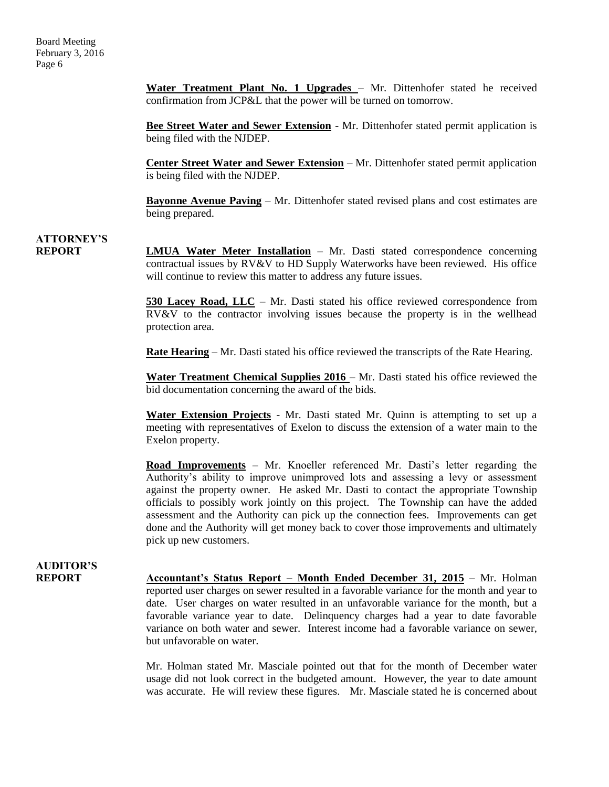**Water Treatment Plant No. 1 Upgrades** – Mr. Dittenhofer stated he received confirmation from JCP&L that the power will be turned on tomorrow.

**Bee Street Water and Sewer Extension** - Mr. Dittenhofer stated permit application is being filed with the NJDEP.

**Center Street Water and Sewer Extension** – Mr. Dittenhofer stated permit application is being filed with the NJDEP.

**Bayonne Avenue Paving** – Mr. Dittenhofer stated revised plans and cost estimates are being prepared.

### **ATTORNEY'S**

**REPORT LMUA Water Meter Installation** – Mr. Dasti stated correspondence concerning contractual issues by RV&V to HD Supply Waterworks have been reviewed. His office will continue to review this matter to address any future issues.

> **530 Lacey Road, LLC** – Mr. Dasti stated his office reviewed correspondence from RV&V to the contractor involving issues because the property is in the wellhead protection area.

**Rate Hearing** – Mr. Dasti stated his office reviewed the transcripts of the Rate Hearing.

**Water Treatment Chemical Supplies 2016 – Mr. Dasti stated his office reviewed the** bid documentation concerning the award of the bids.

**Water Extension Projects** - Mr. Dasti stated Mr. Quinn is attempting to set up a meeting with representatives of Exelon to discuss the extension of a water main to the Exelon property.

**Road Improvements** – Mr. Knoeller referenced Mr. Dasti's letter regarding the Authority's ability to improve unimproved lots and assessing a levy or assessment against the property owner. He asked Mr. Dasti to contact the appropriate Township officials to possibly work jointly on this project. The Township can have the added assessment and the Authority can pick up the connection fees. Improvements can get done and the Authority will get money back to cover those improvements and ultimately pick up new customers.

### **AUDITOR'S**

**REPORT Accountant's Status Report – Month Ended December 31, 2015** – Mr. Holman reported user charges on sewer resulted in a favorable variance for the month and year to date. User charges on water resulted in an unfavorable variance for the month, but a favorable variance year to date. Delinquency charges had a year to date favorable variance on both water and sewer. Interest income had a favorable variance on sewer, but unfavorable on water.

> Mr. Holman stated Mr. Masciale pointed out that for the month of December water usage did not look correct in the budgeted amount. However, the year to date amount was accurate. He will review these figures. Mr. Masciale stated he is concerned about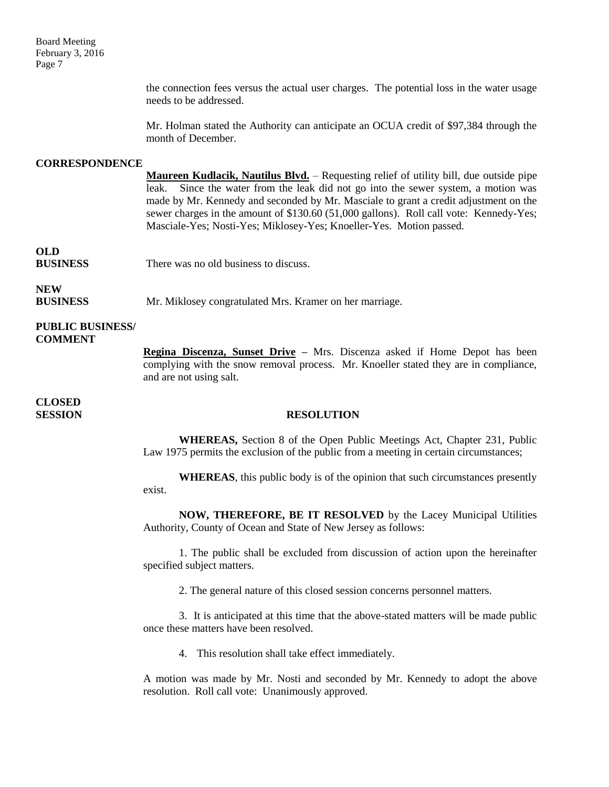Board Meeting February 3, 2016 Page 7

> the connection fees versus the actual user charges. The potential loss in the water usage needs to be addressed.

> Mr. Holman stated the Authority can anticipate an OCUA credit of \$97,384 through the month of December.

#### **CORRESPONDENCE**

**Maureen Kudlacik, Nautilus Blvd.** – Requesting relief of utility bill, due outside pipe leak. Since the water from the leak did not go into the sewer system, a motion was made by Mr. Kennedy and seconded by Mr. Masciale to grant a credit adjustment on the sewer charges in the amount of \$130.60 (51,000 gallons). Roll call vote: Kennedy-Yes; Masciale-Yes; Nosti-Yes; Miklosey-Yes; Knoeller-Yes. Motion passed.

### **OLD**

**BUSINESS** There was no old business to discuss.

### **NEW**

**BUSINESS** Mr. Miklosey congratulated Mrs. Kramer on her marriage.

#### **PUBLIC BUSINESS/ COMMENT**

**Regina Discenza, Sunset Drive –** Mrs. Discenza asked if Home Depot has been complying with the snow removal process. Mr. Knoeller stated they are in compliance, and are not using salt.

## **CLOSED**

#### **SESSION RESOLUTION**

**WHEREAS,** Section 8 of the Open Public Meetings Act, Chapter 231, Public Law 1975 permits the exclusion of the public from a meeting in certain circumstances;

**WHEREAS**, this public body is of the opinion that such circumstances presently exist.

**NOW, THEREFORE, BE IT RESOLVED** by the Lacey Municipal Utilities Authority, County of Ocean and State of New Jersey as follows:

1. The public shall be excluded from discussion of action upon the hereinafter specified subject matters.

2. The general nature of this closed session concerns personnel matters.

3. It is anticipated at this time that the above-stated matters will be made public once these matters have been resolved.

4. This resolution shall take effect immediately.

A motion was made by Mr. Nosti and seconded by Mr. Kennedy to adopt the above resolution. Roll call vote: Unanimously approved.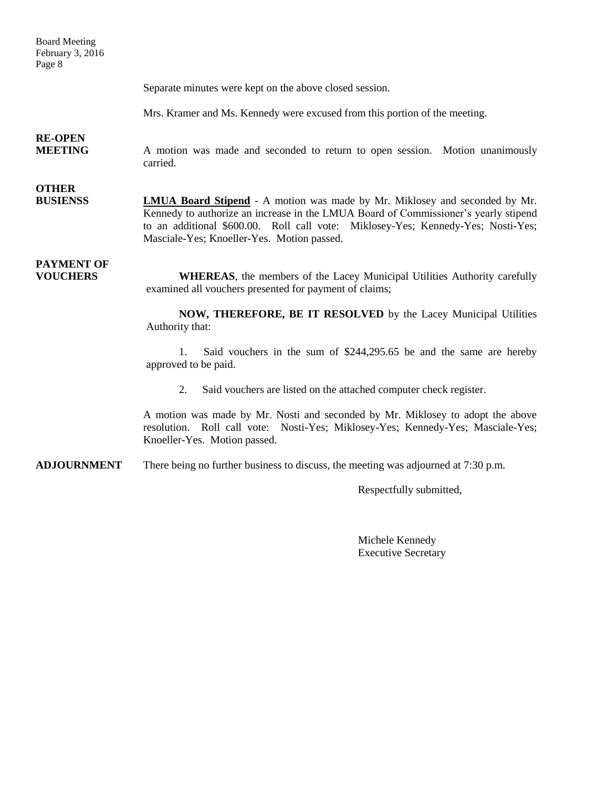Board Meeting February 3, 2016 Page 8

Separate minutes were kept on the above closed session.

Mrs. Kramer and Ms. Kennedy were excused from this portion of the meeting.

### **RE-OPEN**

**MEETING** A motion was made and seconded to return to open session. Motion unanimously carried.

## **OTHER**

**BUSIENSS LMUA Board Stipend** - A motion was made by Mr. Miklosey and seconded by Mr. Kennedy to authorize an increase in the LMUA Board of Commissioner's yearly stipend to an additional \$600.00. Roll call vote: Miklosey-Yes; Kennedy-Yes; Nosti-Yes; Masciale-Yes; Knoeller-Yes. Motion passed.

## **PAYMENT OF**

**VOUCHERS WHEREAS**, the members of the Lacey Municipal Utilities Authority carefully examined all vouchers presented for payment of claims;

> **NOW, THEREFORE, BE IT RESOLVED** by the Lacey Municipal Utilities Authority that:

> 1. Said vouchers in the sum of \$244,295.65 be and the same are hereby approved to be paid.

2. Said vouchers are listed on the attached computer check register.

A motion was made by Mr. Nosti and seconded by Mr. Miklosey to adopt the above resolution. Roll call vote: Nosti-Yes; Miklosey-Yes; Kennedy-Yes; Masciale-Yes; Knoeller-Yes. Motion passed.

**ADJOURNMENT** There being no further business to discuss, the meeting was adjourned at 7:30 p.m.

Respectfully submitted,

Michele Kennedy Executive Secretary